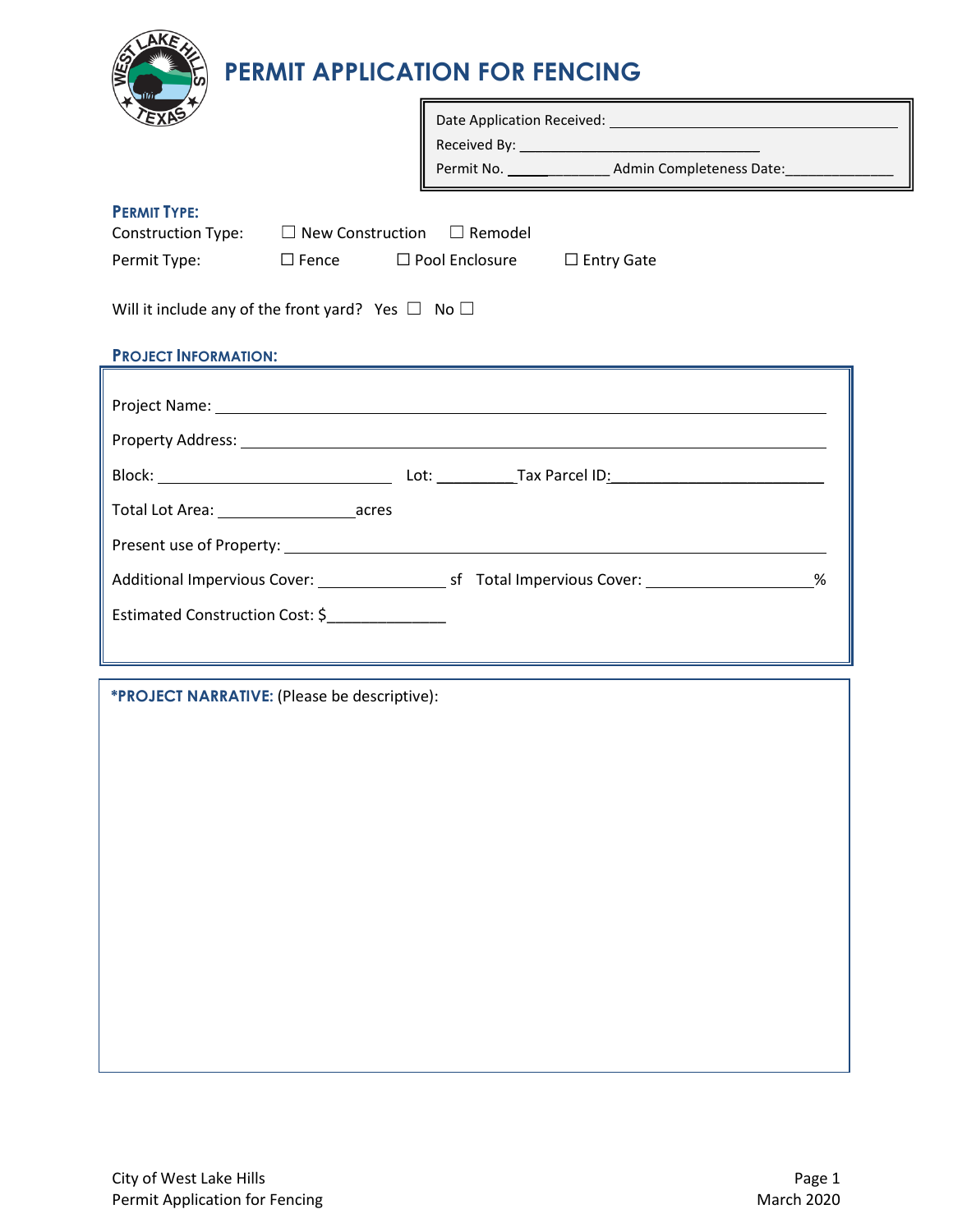

# **PERMIT APPLICATION FOR FENCING**

|                                                                                                                                              |  |  | Permit No. __________________ Admin Completeness Date: _________________<br><u> 1980 - Johann Barn, amerikan bestean ing disebut di pada 1980 - Para Serika Barn, antara pertama di pada 198</u> |  |  |  |
|----------------------------------------------------------------------------------------------------------------------------------------------|--|--|--------------------------------------------------------------------------------------------------------------------------------------------------------------------------------------------------|--|--|--|
| <b>PERMIT TYPE:</b><br>Construction Type: $\square$ New Construction $\square$ Remodel<br>Permit Type: □ Fence □ Pool Enclosure □ Entry Gate |  |  |                                                                                                                                                                                                  |  |  |  |
| Will it include any of the front yard? Yes $\Box$ No $\Box$                                                                                  |  |  |                                                                                                                                                                                                  |  |  |  |
| <b>PROJECT INFORMATION:</b>                                                                                                                  |  |  |                                                                                                                                                                                                  |  |  |  |
|                                                                                                                                              |  |  |                                                                                                                                                                                                  |  |  |  |
|                                                                                                                                              |  |  |                                                                                                                                                                                                  |  |  |  |
|                                                                                                                                              |  |  |                                                                                                                                                                                                  |  |  |  |
|                                                                                                                                              |  |  |                                                                                                                                                                                                  |  |  |  |
|                                                                                                                                              |  |  |                                                                                                                                                                                                  |  |  |  |
| Estimated Construction Cost: \$                                                                                                              |  |  |                                                                                                                                                                                                  |  |  |  |
|                                                                                                                                              |  |  |                                                                                                                                                                                                  |  |  |  |

**\*PROJECT NARRATIVE:** (Please be descriptive):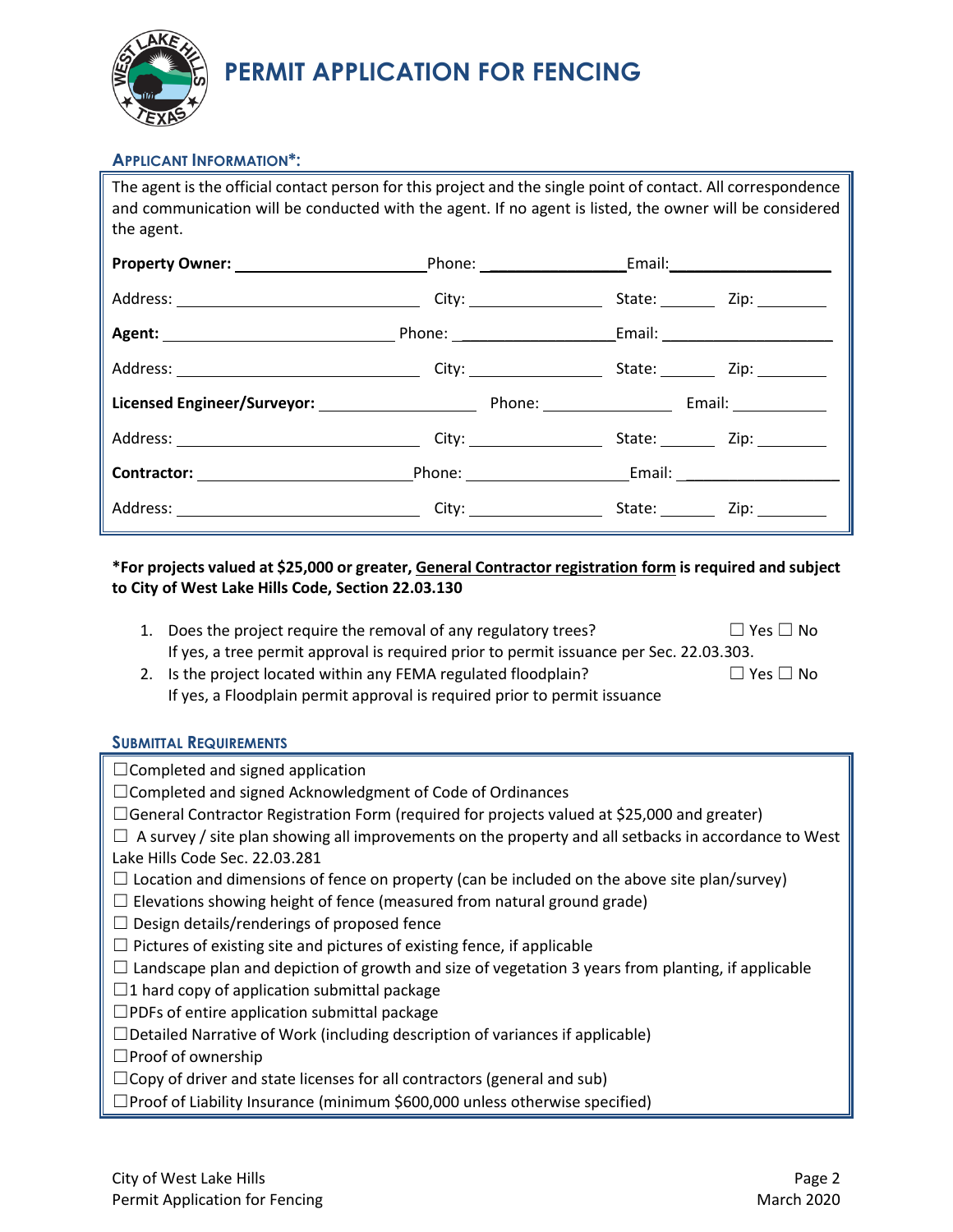

# **PERMIT APPLICATION FOR FENCING**

### **APPLICANT INFORMATION\*:**

| The agent is the official contact person for this project and the single point of contact. All correspondence<br>and communication will be conducted with the agent. If no agent is listed, the owner will be considered<br>the agent. |  |                         |  |  |  |  |
|----------------------------------------------------------------------------------------------------------------------------------------------------------------------------------------------------------------------------------------|--|-------------------------|--|--|--|--|
|                                                                                                                                                                                                                                        |  |                         |  |  |  |  |
|                                                                                                                                                                                                                                        |  |                         |  |  |  |  |
|                                                                                                                                                                                                                                        |  |                         |  |  |  |  |
|                                                                                                                                                                                                                                        |  |                         |  |  |  |  |
|                                                                                                                                                                                                                                        |  |                         |  |  |  |  |
|                                                                                                                                                                                                                                        |  |                         |  |  |  |  |
| <b>Contractor:</b> Email: Email: Email: Email: Email: Email: Email: Email: Email: Email: Email: Email: Email: Email: Email: Email: Email: Email: Email: Email: Email: Email: Email: Email: Email: Email: Email: Email: Email: Email    |  |                         |  |  |  |  |
|                                                                                                                                                                                                                                        |  | City: City: City: City: |  |  |  |  |

### **\*For projects valued at \$25,000 or greater, General Contractor registration form is required and subject to City of West Lake Hills Code, Section 22.03.130**

| 1. Does the project require the removal of any regulatory trees?                        | $\Box$ Yes $\Box$ No |
|-----------------------------------------------------------------------------------------|----------------------|
| If yes, a tree permit approval is required prior to permit issuance per Sec. 22.03.303. |                      |

2. Is the project located within any FEMA regulated floodplain?  $□$  Yes  $□$  No If yes, a Floodplain permit approval is required prior to permit issuance

#### **SUBMITTAL REQUIREMENTS**

| $\Box$ Completed and signed application                                                                     |  |  |  |
|-------------------------------------------------------------------------------------------------------------|--|--|--|
| $\Box$ Completed and signed Acknowledgment of Code of Ordinances                                            |  |  |  |
| $\Box$ General Contractor Registration Form (required for projects valued at \$25,000 and greater)          |  |  |  |
| $\Box$ A survey / site plan showing all improvements on the property and all setbacks in accordance to West |  |  |  |
| Lake Hills Code Sec. 22.03.281                                                                              |  |  |  |
| $\Box$ Location and dimensions of fence on property (can be included on the above site plan/survey)         |  |  |  |
| $\Box$ Elevations showing height of fence (measured from natural ground grade)                              |  |  |  |
| Design details/renderings of proposed fence<br>$\Box$                                                       |  |  |  |
| $\Box$ Pictures of existing site and pictures of existing fence, if applicable                              |  |  |  |
| $\Box$ Landscape plan and depiction of growth and size of vegetation 3 years from planting, if applicable   |  |  |  |
| $\Box$ 1 hard copy of application submittal package                                                         |  |  |  |
| $\Box$ PDFs of entire application submittal package                                                         |  |  |  |
| $\Box$ Detailed Narrative of Work (including description of variances if applicable)                        |  |  |  |
| $\Box$ Proof of ownership                                                                                   |  |  |  |
| $\Box$ Copy of driver and state licenses for all contractors (general and sub)                              |  |  |  |
| $\Box$ Proof of Liability Insurance (minimum \$600,000 unless otherwise specified)                          |  |  |  |
|                                                                                                             |  |  |  |